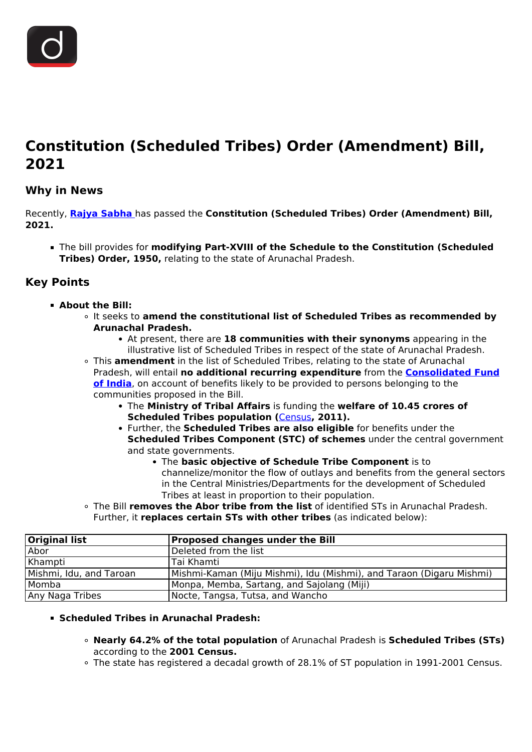

# **Constitution (Scheduled Tribes) Order (Amendment) Bill, 2021**

## **Why in News**

Recently, **[Rajya Sabha](/daily-updates/daily-news-editorials/role-of-rajya-sabha)** has passed the **Constitution (Scheduled Tribes) Order (Amendment) Bill, 2021.**

The bill provides for **modifying Part-XVIII of the Schedule to the Constitution (Scheduled Tribes) Order, 1950,** relating to the state of Arunachal Pradesh.

## **Key Points**

- **About the Bill:**
	- It seeks to **amend the constitutional list of Scheduled Tribes as recommended by Arunachal Pradesh.**
		- At present, there are **18 communities with their synonyms** appearing in the illustrative list of Scheduled Tribes in respect of the state of Arunachal Pradesh.
	- This **amendment** in the list of Scheduled Tribes, relating to the state of Arunachal Pradesh, will entail **no additional recurring expenditure** from the **[Consolidated Fund](/daily-updates/daily-news-analysis/non-utilisation-of-cesses-levies#:~:text=States%20as%20devolution.-,Consolidated%20Fund%20of%20India,and%20all%20non%2Dtax%20revenues.) [of India](/daily-updates/daily-news-analysis/non-utilisation-of-cesses-levies#:~:text=States%20as%20devolution.-,Consolidated%20Fund%20of%20India,and%20all%20non%2Dtax%20revenues.)**, on account of benefits likely to be provided to persons belonging to the communities proposed in the Bill.
		- The **Ministry of Tribal Affairs** is funding the **welfare of 10.45 crores of Scheduled Tribes population (**[Census](/loksabha-rajyasabha-discussions/the-big-picture-census-challenges-importance)**, 2011).**
		- Further, the **Scheduled Tribes are also eligible** for benefits under the **Scheduled Tribes Component (STC) of schemes** under the central government and state governments.
			- The **basic objective of Schedule Tribe Component** is to channelize/monitor the flow of outlays and benefits from the general sectors in the Central Ministries/Departments for the development of Scheduled Tribes at least in proportion to their population.
	- The Bill **removes the Abor tribe from the list** of identified STs in Arunachal Pradesh. Further, it **replaces certain STs with other tribes** (as indicated below):

| <b>Original list</b>    | <b>Proposed changes under the Bill</b>                               |
|-------------------------|----------------------------------------------------------------------|
| Abor                    | Deleted from the list                                                |
| Khampti                 | Tai Khamti                                                           |
| Mishmi, Idu, and Taroan | Mishmi-Kaman (Miju Mishmi), Idu (Mishmi), and Taraon (Digaru Mishmi) |
| Momba                   | Monpa, Memba, Sartang, and Sajolang (Miji)                           |
| Any Naga Tribes         | Nocte, Tangsa, Tutsa, and Wancho                                     |

### **Scheduled Tribes in Arunachal Pradesh:**

- **Nearly 64.2% of the total population** of Arunachal Pradesh is **Scheduled Tribes (STs)** according to the **2001 Census.**
- The state has registered a decadal growth of 28.1% of ST population in 1991-2001 Census.